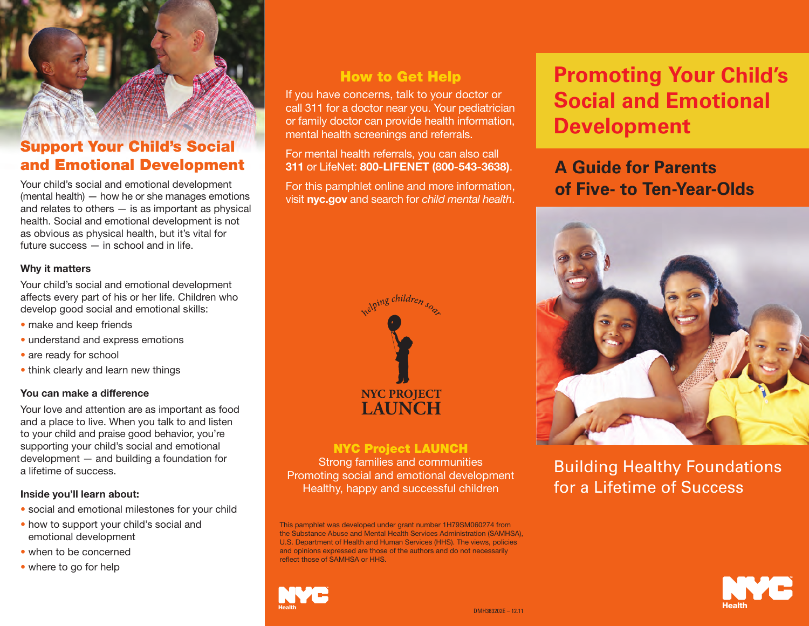# **Support Your Child's Social and Emotional Development**

Your child's social and emotional development (mental health) — how he or she manages emotions and relates to others  $-$  is as important as physical health. Social and emotional development is not as obvious as physical health, but it's vital for future success — in school and in life.

#### **Why it matters**

Your child's social and emotional development affects every part of his or her life. Children who develop good social and emotional skills:

- make and keep friends
- understand and express emotions
- are ready for school
- think clearly and learn new things

#### **You can make a difference**

Your love and attention are as important as food and a place to live. When you talk to and listen to your child and praise good behavior, you're supporting your child's social and emotional development — and building a foundation for a lifetime of success.

#### **Inside you'll learn about:**

- social and emotional milestones for your child
- how to support your child's social and emotional development
- when to be concerned
- where to go for help

## **How to Get Help**

If you have concerns, talk to your doctor or call 311 for a doctor near you. Your pediatrician or family doctor can provide health information, mental health screenings and referrals.

For mental health referrals, you can also call **311** or LifeNet: **800-LIFENET (800-543-3638)**.

For this pamphlet online and more information, visit **nyc.gov** and search for *child mental health*.



### **NYC Project LAUNCH**

Strong families and communities Promoting social and emotional development Healthy, happy and successful children

This pamphlet was developed under grant number 1H79SM060274 from the Substance Abuse and Mental Health Services Administration (SAMHSA), U.S. Department of Health and Human Services (HHS). The views, policies and opinions expressed are those of the authors and do not necessarily reflect those of SAMHSA or HHS.



# **Promoting Your Child's Social and Emotional Development**

# **A Guide for Parents of Five- to Ten-Year-Olds**



Building Healthy Foundations for a Lifetime of Success